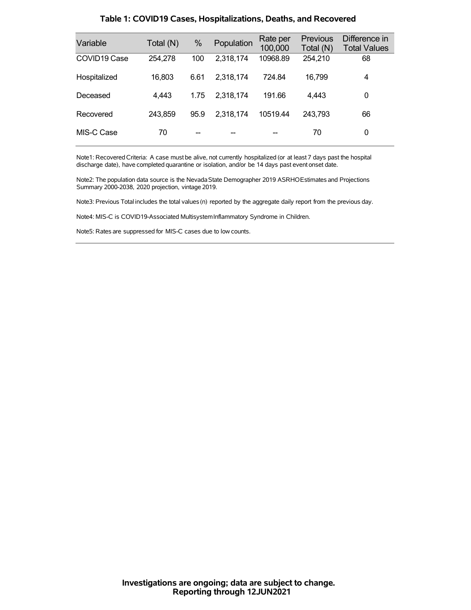| Variable                 | Total (N) | %    | Population | Rate per<br>100,000 | <b>Previous</b><br>Total (N) | Difference in<br><b>Total Values</b> |
|--------------------------|-----------|------|------------|---------------------|------------------------------|--------------------------------------|
| COVID <sub>19</sub> Case | 254,278   | 100  | 2,318,174  | 10968.89            | 254,210                      | 68                                   |
| Hospitalized             | 16,803    | 6.61 | 2,318,174  | 724.84              | 16,799                       | 4                                    |
| Deceased                 | 4,443     | 1.75 | 2,318,174  | 191.66              | 4.443                        | 0                                    |
| Recovered                | 243,859   | 95.9 | 2,318,174  | 10519.44            | 243,793                      | 66                                   |
| MIS-C Case               | 70        |      |            |                     | 70                           | 0                                    |

### **Table 1: COVID19 Cases, Hospitalizations, Deaths, and Recovered**

Note1: Recovered Criteria: A case must be alive, not currently hospitalized (or at least 7 days past the hospital discharge date), have completed quarantine or isolation, and/or be 14 days past event onset date.

Note2: The population data source is the Nevada State Demographer 2019 ASRHOEstimates and Projections Summary 2000-2038, 2020 projection, vintage 2019.

Note3: Previous Total includes the total values(n) reported by the aggregate daily report from the previous day.

Note4: MIS-C is COVID19-Associated MultisystemInflammatory Syndrome in Children.

Note5: Rates are suppressed for MIS-C cases due to low counts.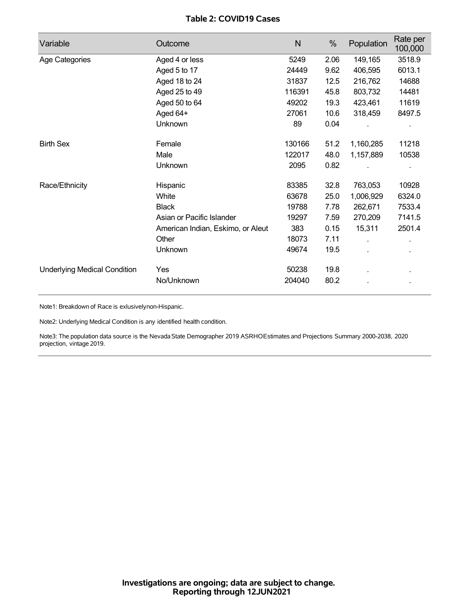## **Table 2: COVID19 Cases**

| Variable                            | Outcome                           | N      | %    | Population | Rate per<br>100,000 |
|-------------------------------------|-----------------------------------|--------|------|------------|---------------------|
| Age Categories                      | Aged 4 or less                    | 5249   | 2.06 | 149,165    | 3518.9              |
|                                     | Aged 5 to 17                      | 24449  | 9.62 | 406,595    | 6013.1              |
|                                     | Aged 18 to 24                     | 31837  | 12.5 | 216,762    | 14688               |
|                                     | Aged 25 to 49                     | 116391 | 45.8 | 803,732    | 14481               |
|                                     | Aged 50 to 64                     | 49202  | 19.3 | 423,461    | 11619               |
|                                     | Aged 64+                          | 27061  | 10.6 | 318,459    | 8497.5              |
|                                     | Unknown                           | 89     | 0.04 |            |                     |
| <b>Birth Sex</b>                    | Female                            | 130166 | 51.2 | 1,160,285  | 11218               |
|                                     | Male                              | 122017 | 48.0 | 1,157,889  | 10538               |
|                                     | Unknown                           | 2095   | 0.82 |            |                     |
| Race/Ethnicity                      | Hispanic                          | 83385  | 32.8 | 763,053    | 10928               |
|                                     | White                             | 63678  | 25.0 | 1,006,929  | 6324.0              |
|                                     | <b>Black</b>                      | 19788  | 7.78 | 262,671    | 7533.4              |
|                                     | Asian or Pacific Islander         | 19297  | 7.59 | 270,209    | 7141.5              |
|                                     | American Indian, Eskimo, or Aleut | 383    | 0.15 | 15,311     | 2501.4              |
|                                     | Other                             | 18073  | 7.11 |            |                     |
|                                     | Unknown                           | 49674  | 19.5 |            |                     |
| <b>Underlying Medical Condition</b> | Yes                               | 50238  | 19.8 |            |                     |
|                                     | No/Unknown                        | 204040 | 80.2 |            |                     |

Note1: Breakdown of Race is exlusivelynon-Hispanic.

Note2: Underlying Medical Condition is any identified health condition.

Note3: The population data source is the NevadaState Demographer 2019 ASRHOEstimates and Projections Summary 2000-2038, 2020 projection, vintage 2019.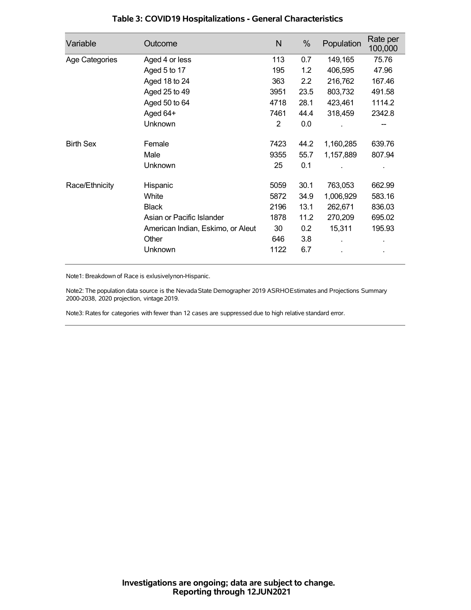| Variable         | Outcome                           | N    | %                | Population | Rate per<br>100,000 |
|------------------|-----------------------------------|------|------------------|------------|---------------------|
| Age Categories   | Aged 4 or less                    | 113  | 0.7              | 149,165    | 75.76               |
|                  | Aged 5 to 17                      | 195  | 1.2              | 406,595    | 47.96               |
|                  | Aged 18 to 24                     | 363  | $2.2\phantom{0}$ | 216,762    | 167.46              |
|                  | Aged 25 to 49                     | 3951 | 23.5             | 803,732    | 491.58              |
|                  | Aged 50 to 64                     | 4718 | 28.1             | 423,461    | 1114.2              |
|                  | Aged 64+                          | 7461 | 44.4             | 318,459    | 2342.8              |
|                  | Unknown                           | 2    | 0.0              |            |                     |
| <b>Birth Sex</b> | Female                            | 7423 | 44.2             | 1,160,285  | 639.76              |
|                  | Male                              | 9355 | 55.7             | 1,157,889  | 807.94              |
|                  | Unknown                           | 25   | 0.1              |            |                     |
| Race/Ethnicity   | Hispanic                          | 5059 | 30.1             | 763,053    | 662.99              |
|                  | White                             | 5872 | 34.9             | 1,006,929  | 583.16              |
|                  | <b>Black</b>                      | 2196 | 13.1             | 262,671    | 836.03              |
|                  | Asian or Pacific Islander         | 1878 | 11.2             | 270,209    | 695.02              |
|                  | American Indian, Eskimo, or Aleut | 30   | 0.2              | 15,311     | 195.93              |
|                  | Other                             | 646  | 3.8              |            |                     |
|                  | Unknown                           | 1122 | 6.7              |            |                     |

## **Table 3: COVID19 Hospitalizations - General Characteristics**

Note1: Breakdown of Race is exlusivelynon-Hispanic.

Note2: The population data source is the Nevada State Demographer 2019 ASRHOEstimates and Projections Summary 2000-2038, 2020 projection, vintage 2019.

Note3: Rates for categories with fewer than 12 cases are suppressed due to high relative standard error.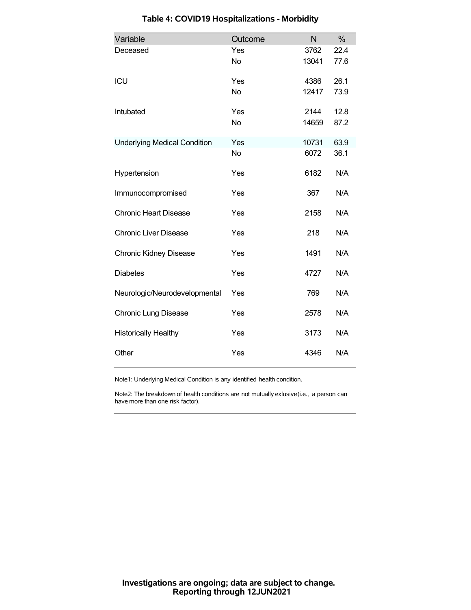| Variable                            | Outcome   | N     | $\%$ |
|-------------------------------------|-----------|-------|------|
| Deceased                            | Yes       | 3762  | 22.4 |
|                                     | <b>No</b> | 13041 | 77.6 |
| ICU                                 | Yes       | 4386  | 26.1 |
|                                     | <b>No</b> | 12417 | 73.9 |
| Intubated                           | Yes       | 2144  | 12.8 |
|                                     | <b>No</b> | 14659 | 87.2 |
| <b>Underlying Medical Condition</b> | Yes       | 10731 | 63.9 |
|                                     | <b>No</b> | 6072  | 36.1 |
| Hypertension                        | Yes       | 6182  | N/A  |
| Immunocompromised                   | Yes       | 367   | N/A  |
| <b>Chronic Heart Disease</b>        | Yes       | 2158  | N/A  |
| <b>Chronic Liver Disease</b>        | Yes       | 218   | N/A  |
| <b>Chronic Kidney Disease</b>       | Yes       | 1491  | N/A  |
| <b>Diabetes</b>                     | Yes       | 4727  | N/A  |
| Neurologic/Neurodevelopmental       | Yes       | 769   | N/A  |
| <b>Chronic Lung Disease</b>         | Yes       | 2578  | N/A  |
| <b>Historically Healthy</b>         | Yes       | 3173  | N/A  |
| Other                               | Yes       | 4346  | N/A  |

# **Table 4: COVID19 Hospitalizations - Morbidity**

Note1: Underlying Medical Condition is any identified health condition.

Note2: The breakdown of health conditions are not mutually exlusive(i.e., a person can have more than one risk factor).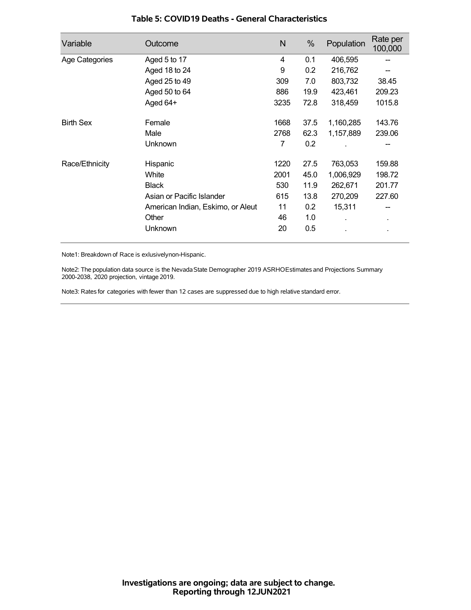| Variable         | Outcome                           | N    | %    | Population | Rate per<br>100,000 |
|------------------|-----------------------------------|------|------|------------|---------------------|
| Age Categories   | Aged 5 to 17                      | 4    | 0.1  | 406,595    |                     |
|                  | Aged 18 to 24                     | 9    | 0.2  | 216,762    |                     |
|                  | Aged 25 to 49                     | 309  | 7.0  | 803,732    | 38.45               |
|                  | Aged 50 to 64                     | 886  | 19.9 | 423,461    | 209.23              |
|                  | Aged 64+                          | 3235 | 72.8 | 318,459    | 1015.8              |
| <b>Birth Sex</b> | Female                            | 1668 | 37.5 | 1,160,285  | 143.76              |
|                  | Male                              | 2768 | 62.3 | 1,157,889  | 239.06              |
|                  | Unknown                           | 7    | 0.2  |            |                     |
| Race/Ethnicity   | Hispanic                          | 1220 | 27.5 | 763,053    | 159.88              |
|                  | White                             | 2001 | 45.0 | 1,006,929  | 198.72              |
|                  | <b>Black</b>                      | 530  | 11.9 | 262,671    | 201.77              |
|                  | Asian or Pacific Islander         | 615  | 13.8 | 270,209    | 227.60              |
|                  | American Indian, Eskimo, or Aleut | 11   | 0.2  | 15,311     |                     |
|                  | Other                             | 46   | 1.0  |            | $\blacksquare$      |
|                  | Unknown                           | 20   | 0.5  |            |                     |

### **Table 5: COVID19 Deaths - General Characteristics**

Note1: Breakdown of Race is exlusivelynon-Hispanic.

Note2: The population data source is the Nevada State Demographer 2019 ASRHOEstimates and Projections Summary 2000-2038, 2020 projection, vintage 2019.

Note3: Rates for categories with fewer than 12 cases are suppressed due to high relative standard error.